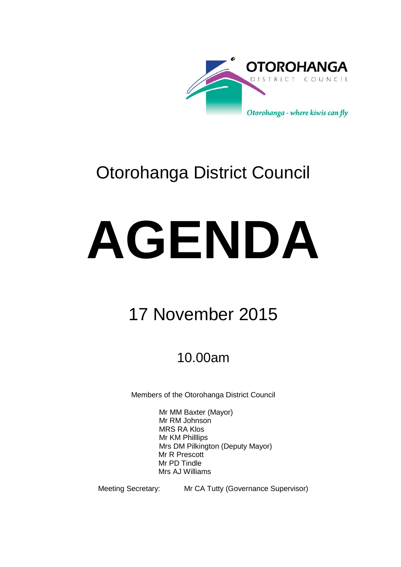

# Otorohanga District Council

# **AGENDA**

# 17 November 2015

## 10.00am

Members of the Otorohanga District Council

Mr MM Baxter (Mayor) Mr RM Johnson MRS RA Klos Mr KM Philllips Mrs DM Pilkington (Deputy Mayor) Mr R Prescott Mr PD Tindle Mrs AJ Williams

Meeting Secretary: Mr CA Tutty (Governance Supervisor)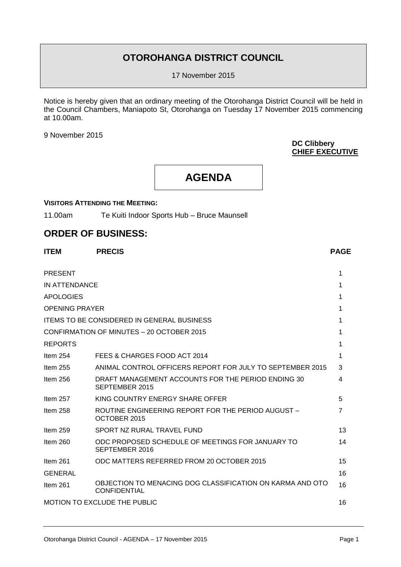### **OTOROHANGA DISTRICT COUNCIL**

17 November 2015

Notice is hereby given that an ordinary meeting of the Otorohanga District Council will be held in the Council Chambers, Maniapoto St, Otorohanga on Tuesday 17 November 2015 commencing at 10.00am.

9 November 2015

#### **DC Clibbery CHIEF EXECUTIVE**

**AGENDA**

#### **VISITORS ATTENDING THE MEETING:**

11.00am Te Kuiti Indoor Sports Hub – Bruce Maunsell

#### **ORDER OF BUSINESS:**

| <b>ITEM</b>           | <b>PRECIS</b>                                                                    | <b>PAGE</b>    |
|-----------------------|----------------------------------------------------------------------------------|----------------|
| <b>PRESENT</b>        |                                                                                  | 1              |
| IN ATTENDANCE         |                                                                                  | 1              |
| <b>APOLOGIES</b>      |                                                                                  | 1              |
| <b>OPENING PRAYER</b> |                                                                                  | 1              |
|                       | <b>ITEMS TO BE CONSIDERED IN GENERAL BUSINESS</b>                                | 1              |
|                       | CONFIRMATION OF MINUTES - 20 OCTOBER 2015                                        | 1              |
| <b>REPORTS</b>        |                                                                                  | 1              |
| Item $254$            | FEES & CHARGES FOOD ACT 2014                                                     | 1              |
| Item 255              | ANIMAL CONTROL OFFICERS REPORT FOR JULY TO SEPTEMBER 2015                        | 3              |
| Item $256$            | DRAFT MANAGEMENT ACCOUNTS FOR THE PERIOD ENDING 30<br>SEPTEMBER 2015             | 4              |
| Item 257              | KING COUNTRY ENERGY SHARE OFFER                                                  | 5              |
| Item $258$            | ROUTINE ENGINEERING REPORT FOR THE PERIOD AUGUST -<br>OCTOBER 2015               | $\overline{7}$ |
| Item $259$            | SPORT NZ RURAL TRAVEL FUND                                                       | 13             |
| Item $260$            | ODC PROPOSED SCHEDULE OF MEETINGS FOR JANUARY TO<br>SEPTEMBER 2016               | 14             |
| Item 261              | ODC MATTERS REFERRED FROM 20 OCTOBER 2015                                        | 15             |
| <b>GENERAL</b>        |                                                                                  | 16             |
| Item $261$            | OBJECTION TO MENACING DOG CLASSIFICATION ON KARMA AND OTO<br><b>CONFIDENTIAL</b> | 16             |
|                       | <b>MOTION TO EXCLUDE THE PUBLIC</b>                                              | 16             |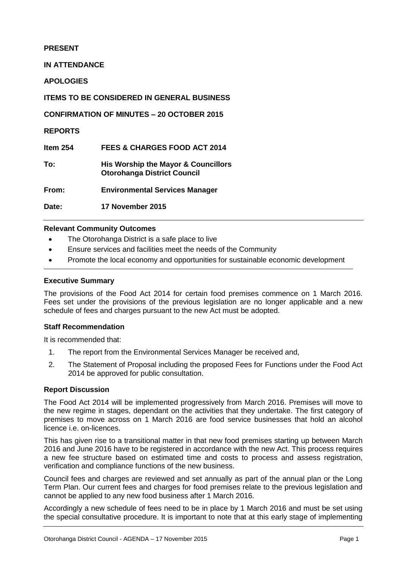#### **PRESENT**

**IN ATTENDANCE**

**APOLOGIES**

**ITEMS TO BE CONSIDERED IN GENERAL BUSINESS**

**CONFIRMATION OF MINUTES – 20 OCTOBER 2015**

**REPORTS**

**Item 254 FEES & CHARGES FOOD ACT 2014**

**To: His Worship the Mayor & Councillors Otorohanga District Council**

**From: Environmental Services Manager**

**Date: 17 November 2015**

#### **Relevant Community Outcomes**

- The Otorohanga District is a safe place to live
- Ensure services and facilities meet the needs of the Community
- Promote the local economy and opportunities for sustainable economic development

#### **Executive Summary**

The provisions of the Food Act 2014 for certain food premises commence on 1 March 2016. Fees set under the provisions of the previous legislation are no longer applicable and a new schedule of fees and charges pursuant to the new Act must be adopted.

#### **Staff Recommendation**

It is recommended that:

- 1. The report from the Environmental Services Manager be received and,
- 2. The Statement of Proposal including the proposed Fees for Functions under the Food Act 2014 be approved for public consultation.

#### **Report Discussion**

The Food Act 2014 will be implemented progressively from March 2016. Premises will move to the new regime in stages, dependant on the activities that they undertake. The first category of premises to move across on 1 March 2016 are food service businesses that hold an alcohol licence i.e. on-licences.

This has given rise to a transitional matter in that new food premises starting up between March 2016 and June 2016 have to be registered in accordance with the new Act. This process requires a new fee structure based on estimated time and costs to process and assess registration, verification and compliance functions of the new business.

Council fees and charges are reviewed and set annually as part of the annual plan or the Long Term Plan. Our current fees and charges for food premises relate to the previous legislation and cannot be applied to any new food business after 1 March 2016.

Accordingly a new schedule of fees need to be in place by 1 March 2016 and must be set using the special consultative procedure. It is important to note that at this early stage of implementing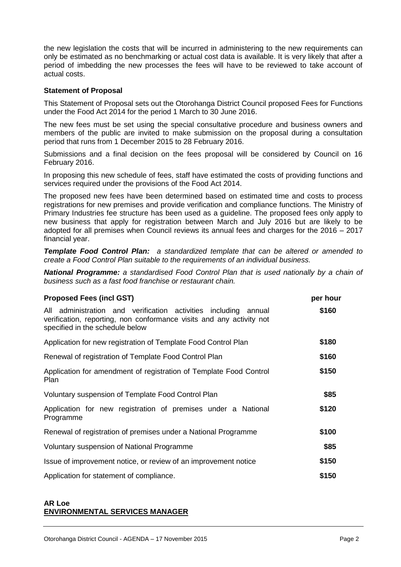the new legislation the costs that will be incurred in administering to the new requirements can only be estimated as no benchmarking or actual cost data is available. It is very likely that after a period of imbedding the new processes the fees will have to be reviewed to take account of actual costs.

#### **Statement of Proposal**

This Statement of Proposal sets out the Otorohanga District Council proposed Fees for Functions under the Food Act 2014 for the period 1 March to 30 June 2016.

The new fees must be set using the special consultative procedure and business owners and members of the public are invited to make submission on the proposal during a consultation period that runs from 1 December 2015 to 28 February 2016.

Submissions and a final decision on the fees proposal will be considered by Council on 16 February 2016.

In proposing this new schedule of fees, staff have estimated the costs of providing functions and services required under the provisions of the Food Act 2014.

The proposed new fees have been determined based on estimated time and costs to process registrations for new premises and provide verification and compliance functions. The Ministry of Primary Industries fee structure has been used as a guideline. The proposed fees only apply to new business that apply for registration between March and July 2016 but are likely to be adopted for all premises when Council reviews its annual fees and charges for the 2016 – 2017 financial year.

*Template Food Control Plan: a standardized template that can be altered or amended to create a Food Control Plan suitable to the requirements of an individual business.*

*National Programme: a standardised Food Control Plan that is used nationally by a chain of business such as a fast food franchise or restaurant chain.* 

| <b>Proposed Fees (incl GST)</b>                                                                                                                                            | per hour |
|----------------------------------------------------------------------------------------------------------------------------------------------------------------------------|----------|
| All administration and verification activities including annual<br>verification, reporting, non conformance visits and any activity not<br>specified in the schedule below | \$160    |
| Application for new registration of Template Food Control Plan                                                                                                             | \$180    |
| Renewal of registration of Template Food Control Plan                                                                                                                      | \$160    |
| Application for amendment of registration of Template Food Control<br>Plan                                                                                                 | \$150    |
| Voluntary suspension of Template Food Control Plan                                                                                                                         | \$85     |
| Application for new registration of premises under a National<br>Programme                                                                                                 | \$120    |
| Renewal of registration of premises under a National Programme                                                                                                             | \$100    |
| Voluntary suspension of National Programme                                                                                                                                 | \$85     |
| Issue of improvement notice, or review of an improvement notice                                                                                                            | \$150    |
| Application for statement of compliance.                                                                                                                                   | \$150    |

#### **AR Loe ENVIRONMENTAL SERVICES MANAGER**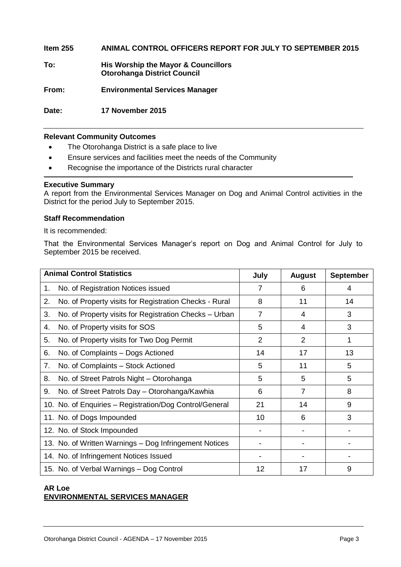**Item 255 ANIMAL CONTROL OFFICERS REPORT FOR JULY TO SEPTEMBER 2015**

**To: His Worship the Mayor & Councillors Otorohanga District Council**

**From: Environmental Services Manager**

**Date: 17 November 2015**

#### **Relevant Community Outcomes**

- The Otorohanga District is a safe place to live
- Ensure services and facilities meet the needs of the Community
- Recognise the importance of the Districts rural character

#### **Executive Summary**

A report from the Environmental Services Manager on Dog and Animal Control activities in the District for the period July to September 2015.

#### **Staff Recommendation**

It is recommended:

That the Environmental Services Manager's report on Dog and Animal Control for July to September 2015 be received.

| <b>Animal Control Statistics</b> |                                                         | July           | <b>August</b>  | <b>September</b> |
|----------------------------------|---------------------------------------------------------|----------------|----------------|------------------|
| 1.                               | No. of Registration Notices issued                      | 7              | 6              | 4                |
| 2.                               | No. of Property visits for Registration Checks - Rural  | 8              | 11             | 14               |
| 3.                               | No. of Property visits for Registration Checks – Urban  | 7              | 4              | 3                |
| 4.                               | No. of Property visits for SOS                          | 5              | 4              | 3                |
| 5.                               | No. of Property visits for Two Dog Permit               | $\overline{2}$ | $\overline{2}$ | 1                |
| 6.                               | No. of Complaints – Dogs Actioned                       | 14             | 17             | 13               |
| 7.                               | No. of Complaints - Stock Actioned                      | 5              | 11             | 5                |
| 8.                               | No. of Street Patrols Night - Otorohanga                | 5              | 5              | 5                |
| 9.                               | No. of Street Patrols Day - Otorohanga/Kawhia           | 6              | 7              | 8                |
|                                  | 10. No. of Enquiries - Registration/Dog Control/General | 21             | 14             | 9                |
|                                  | 11. No. of Dogs Impounded                               | 10             | 6              | 3                |
|                                  | 12. No. of Stock Impounded                              |                |                |                  |
|                                  | 13. No. of Written Warnings - Dog Infringement Notices  |                |                |                  |
|                                  | 14. No. of Infringement Notices Issued                  |                |                |                  |
|                                  | 15. No. of Verbal Warnings - Dog Control                | 12             | 17             | 9                |

#### **AR Loe ENVIRONMENTAL SERVICES MANAGER**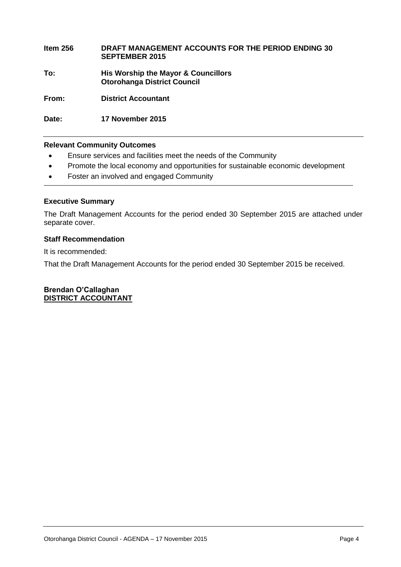#### **Item 256 DRAFT MANAGEMENT ACCOUNTS FOR THE PERIOD ENDING 30 SEPTEMBER 2015 To: His Worship the Mayor & Councillors Otorohanga District Council**

**From: District Accountant**

**Date: 17 November 2015**

#### **Relevant Community Outcomes**

- Ensure services and facilities meet the needs of the Community
- Promote the local economy and opportunities for sustainable economic development
- Foster an involved and engaged Community

#### **Executive Summary**

The Draft Management Accounts for the period ended 30 September 2015 are attached under separate cover.

#### **Staff Recommendation**

It is recommended:

That the Draft Management Accounts for the period ended 30 September 2015 be received.

**Brendan O'Callaghan DISTRICT ACCOUNTANT**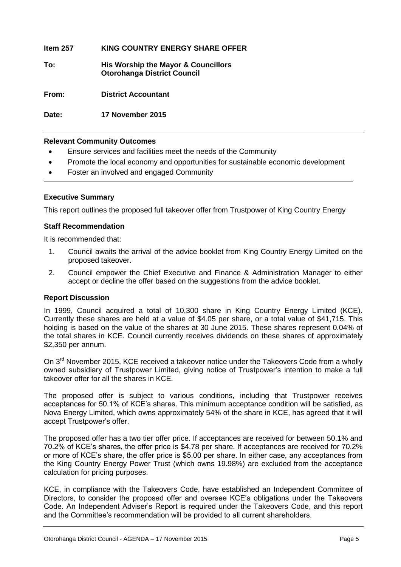**Item 257 KING COUNTRY ENERGY SHARE OFFER To: His Worship the Mayor & Councillors Otorohanga District Council From: District Accountant Date: 17 November 2015**

#### **Relevant Community Outcomes**

- Ensure services and facilities meet the needs of the Community
- Promote the local economy and opportunities for sustainable economic development
- Foster an involved and engaged Community

#### **Executive Summary**

This report outlines the proposed full takeover offer from Trustpower of King Country Energy

#### **Staff Recommendation**

It is recommended that:

- 1. Council awaits the arrival of the advice booklet from King Country Energy Limited on the proposed takeover.
- 2. Council empower the Chief Executive and Finance & Administration Manager to either accept or decline the offer based on the suggestions from the advice booklet.

#### **Report Discussion**

In 1999, Council acquired a total of 10,300 share in King Country Energy Limited (KCE). Currently these shares are held at a value of \$4.05 per share, or a total value of \$41,715. This holding is based on the value of the shares at 30 June 2015. These shares represent 0.04% of the total shares in KCE. Council currently receives dividends on these shares of approximately \$2,350 per annum.

On 3<sup>rd</sup> November 2015, KCE received a takeover notice under the Takeovers Code from a wholly owned subsidiary of Trustpower Limited, giving notice of Trustpower's intention to make a full takeover offer for all the shares in KCE.

The proposed offer is subject to various conditions, including that Trustpower receives acceptances for 50.1% of KCE's shares. This minimum acceptance condition will be satisfied, as Nova Energy Limited, which owns approximately 54% of the share in KCE, has agreed that it will accept Trustpower's offer.

The proposed offer has a two tier offer price. If acceptances are received for between 50.1% and 70.2% of KCE's shares, the offer price is \$4.78 per share. If acceptances are received for 70.2% or more of KCE's share, the offer price is \$5.00 per share. In either case, any acceptances from the King Country Energy Power Trust (which owns 19.98%) are excluded from the acceptance calculation for pricing purposes.

KCE, in compliance with the Takeovers Code, have established an Independent Committee of Directors, to consider the proposed offer and oversee KCE's obligations under the Takeovers Code. An Independent Adviser's Report is required under the Takeovers Code, and this report and the Committee's recommendation will be provided to all current shareholders.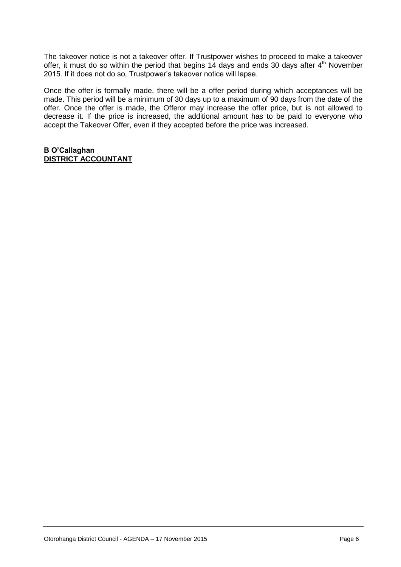The takeover notice is not a takeover offer. If Trustpower wishes to proceed to make a takeover offer, it must do so within the period that begins 14 days and ends 30 days after  $4<sup>th</sup>$  November 2015. If it does not do so, Trustpower's takeover notice will lapse.

Once the offer is formally made, there will be a offer period during which acceptances will be made. This period will be a minimum of 30 days up to a maximum of 90 days from the date of the offer. Once the offer is made, the Offeror may increase the offer price, but is not allowed to decrease it. If the price is increased, the additional amount has to be paid to everyone who accept the Takeover Offer, even if they accepted before the price was increased.

#### **B O'Callaghan DISTRICT ACCOUNTANT**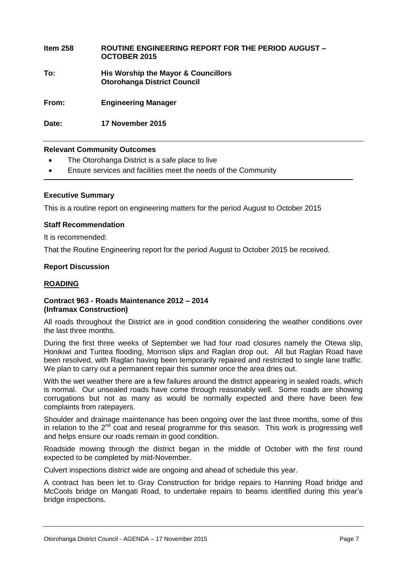## **Item 258 ROUTINE ENGINEERING REPORT FOR THE PERIOD AUGUST – OCTOBER 2015 To: His Worship the Mayor & Councillors Otorohanga District Council From: Engineering Manager**

**Date: 17 November 2015**

#### **Relevant Community Outcomes**

- The Otorohanga District is a safe place to live
- Ensure services and facilities meet the needs of the Community

#### **Executive Summary**

This is a routine report on engineering matters for the period August to October 2015

#### **Staff Recommendation**

It is recommended:

That the Routine Engineering report for the period August to October 2015 be received.

#### **Report Discussion**

#### **ROADING**

#### **Contract 963 - Roads Maintenance 2012 – 2014 (Inframax Construction)**

All roads throughout the District are in good condition considering the weather conditions over the last three months.

During the first three weeks of September we had four road closures namely the Otewa slip, Honikiwi and Turitea flooding, Morrison slips and Raglan drop out. All but Raglan Road have been resolved, with Raglan having been temporarily repaired and restricted to single lane traffic. We plan to carry out a permanent repair this summer once the area dries out.

With the wet weather there are a few failures around the district appearing in sealed roads, which is normal. Our unsealed roads have come through reasonably well. Some roads are showing corrugations but not as many as would be normally expected and there have been few complaints from ratepayers.

Shoulder and drainage maintenance has been ongoing over the last three months, some of this in relation to the  $2<sup>nd</sup>$  coat and reseal programme for this season. This work is progressing well and helps ensure our roads remain in good condition.

Roadside mowing through the district began in the middle of October with the first round expected to be completed by mid-November.

Culvert inspections district wide are ongoing and ahead of schedule this year.

A contract has been let to Gray Construction for bridge repairs to Hanning Road bridge and McCools bridge on Mangati Road, to undertake repairs to beams identified during this year's bridge inspections.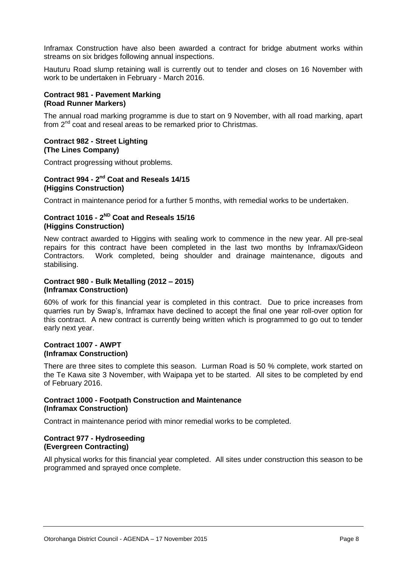Inframax Construction have also been awarded a contract for bridge abutment works within streams on six bridges following annual inspections.

Hauturu Road slump retaining wall is currently out to tender and closes on 16 November with work to be undertaken in February - March 2016.

#### **Contract 981 - Pavement Marking (Road Runner Markers)**

The annual road marking programme is due to start on 9 November, with all road marking, apart from 2nd coat and reseal areas to be remarked prior to Christmas.

#### **Contract 982 - Street Lighting (The Lines Company)**

Contract progressing without problems.

#### **Contract 994 - 2 nd Coat and Reseals 14/15 (Higgins Construction)**

Contract in maintenance period for a further 5 months, with remedial works to be undertaken.

#### **Contract 1016 - 2 ND Coat and Reseals 15/16 (Higgins Construction)**

New contract awarded to Higgins with sealing work to commence in the new year. All pre-seal repairs for this contract have been completed in the last two months by Inframax/Gideon Contractors. Work completed, being shoulder and drainage maintenance, digouts and stabilising.

#### **Contract 980 - Bulk Metalling (2012 – 2015) (Inframax Construction)**

60% of work for this financial year is completed in this contract. Due to price increases from quarries run by Swap's, Inframax have declined to accept the final one year roll-over option for this contract. A new contract is currently being written which is programmed to go out to tender early next year.

#### **Contract 1007 - AWPT (Inframax Construction)**

There are three sites to complete this season. Lurman Road is 50 % complete, work started on the Te Kawa site 3 November, with Waipapa yet to be started. All sites to be completed by end of February 2016.

#### **Contract 1000 - Footpath Construction and Maintenance (Inframax Construction)**

Contract in maintenance period with minor remedial works to be completed.

#### **Contract 977 - Hydroseeding (Evergreen Contracting)**

All physical works for this financial year completed. All sites under construction this season to be programmed and sprayed once complete.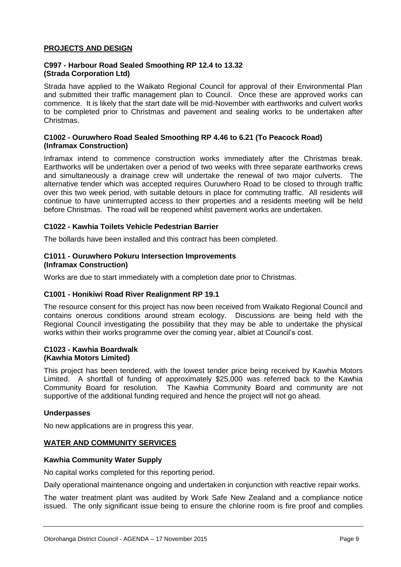#### **PROJECTS AND DESIGN**

#### **C997 - Harbour Road Sealed Smoothing RP 12.4 to 13.32 (Strada Corporation Ltd)**

Strada have applied to the Waikato Regional Council for approval of their Environmental Plan and submitted their traffic management plan to Council. Once these are approved works can commence. It is likely that the start date will be mid-November with earthworks and culvert works to be completed prior to Christmas and pavement and sealing works to be undertaken after Christmas.

#### **C1002 - Ouruwhero Road Sealed Smoothing RP 4.46 to 6.21 (To Peacock Road) (Inframax Construction)**

Inframax intend to commence construction works immediately after the Christmas break. Earthworks will be undertaken over a period of two weeks with three separate earthworks crews and simultaneously a drainage crew will undertake the renewal of two major culverts. The alternative tender which was accepted requires Ouruwhero Road to be closed to through traffic over this two week period, with suitable detours in place for commuting traffic. All residents will continue to have uninterrupted access to their properties and a residents meeting will be held before Christmas. The road will be reopened whilst pavement works are undertaken.

#### **C1022 - Kawhia Toilets Vehicle Pedestrian Barrier**

The bollards have been installed and this contract has been completed.

#### **C1011 - Ouruwhero Pokuru Intersection Improvements (Inframax Construction)**

Works are due to start immediately with a completion date prior to Christmas.

#### **C1001 - Honikiwi Road River Realignment RP 19.1**

The resource consent for this project has now been received from Waikato Regional Council and contains onerous conditions around stream ecology. Discussions are being held with the Regional Council investigating the possibility that they may be able to undertake the physical works within their works programme over the coming year, albiet at Council's cost.

#### **C1023 - Kawhia Boardwalk (Kawhia Motors Limited)**

This project has been tendered, with the lowest tender price being received by Kawhia Motors Limited. A shortfall of funding of approximately \$25,000 was referred back to the Kawhia Community Board for resolution. The Kawhia Community Board and community are not supportive of the additional funding required and hence the project will not go ahead.

#### **Underpasses**

No new applications are in progress this year.

#### **WATER AND COMMUNITY SERVICES**

#### **Kawhia Community Water Supply**

No capital works completed for this reporting period.

Daily operational maintenance ongoing and undertaken in conjunction with reactive repair works.

The water treatment plant was audited by Work Safe New Zealand and a compliance notice issued. The only significant issue being to ensure the chlorine room is fire proof and complies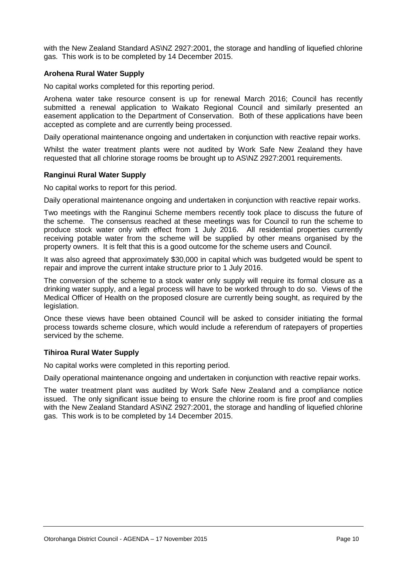with the New Zealand Standard AS\NZ 2927:2001, the storage and handling of liquefied chlorine gas. This work is to be completed by 14 December 2015.

#### **Arohena Rural Water Supply**

No capital works completed for this reporting period.

Arohena water take resource consent is up for renewal March 2016; Council has recently submitted a renewal application to Waikato Regional Council and similarly presented an easement application to the Department of Conservation. Both of these applications have been accepted as complete and are currently being processed.

Daily operational maintenance ongoing and undertaken in conjunction with reactive repair works.

Whilst the water treatment plants were not audited by Work Safe New Zealand they have requested that all chlorine storage rooms be brought up to AS\NZ 2927:2001 requirements.

#### **Ranginui Rural Water Supply**

No capital works to report for this period.

Daily operational maintenance ongoing and undertaken in conjunction with reactive repair works.

Two meetings with the Ranginui Scheme members recently took place to discuss the future of the scheme. The consensus reached at these meetings was for Council to run the scheme to produce stock water only with effect from 1 July 2016. All residential properties currently receiving potable water from the scheme will be supplied by other means organised by the property owners. It is felt that this is a good outcome for the scheme users and Council.

It was also agreed that approximately \$30,000 in capital which was budgeted would be spent to repair and improve the current intake structure prior to 1 July 2016.

The conversion of the scheme to a stock water only supply will require its formal closure as a drinking water supply, and a legal process will have to be worked through to do so. Views of the Medical Officer of Health on the proposed closure are currently being sought, as required by the legislation.

Once these views have been obtained Council will be asked to consider initiating the formal process towards scheme closure, which would include a referendum of ratepayers of properties serviced by the scheme.

#### **Tihiroa Rural Water Supply**

No capital works were completed in this reporting period.

Daily operational maintenance ongoing and undertaken in conjunction with reactive repair works.

The water treatment plant was audited by Work Safe New Zealand and a compliance notice issued. The only significant issue being to ensure the chlorine room is fire proof and complies with the New Zealand Standard AS\NZ 2927:2001, the storage and handling of liquefied chlorine gas. This work is to be completed by 14 December 2015.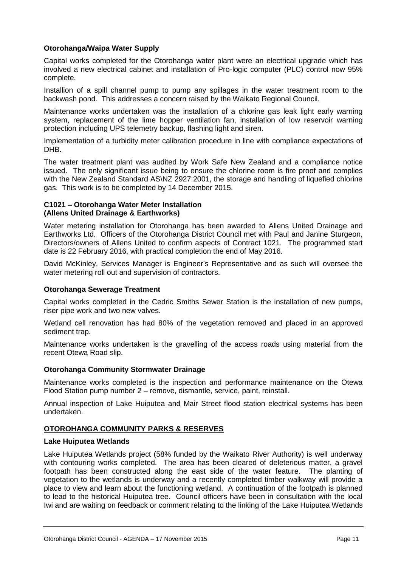#### **Otorohanga/Waipa Water Supply**

Capital works completed for the Otorohanga water plant were an electrical upgrade which has involved a new electrical cabinet and installation of Pro-logic computer (PLC) control now 95% complete.

Installion of a spill channel pump to pump any spillages in the water treatment room to the backwash pond. This addresses a concern raised by the Waikato Regional Council.

Maintenance works undertaken was the installation of a chlorine gas leak light early warning system, replacement of the lime hopper ventilation fan, installation of low reservoir warning protection including UPS telemetry backup, flashing light and siren.

Implementation of a turbidity meter calibration procedure in line with compliance expectations of DHB.

The water treatment plant was audited by Work Safe New Zealand and a compliance notice issued. The only significant issue being to ensure the chlorine room is fire proof and complies with the New Zealand Standard AS\NZ 2927:2001, the storage and handling of liquefied chlorine gas. This work is to be completed by 14 December 2015.

#### **C1021 – Otorohanga Water Meter Installation (Allens United Drainage & Earthworks)**

Water metering installation for Otorohanga has been awarded to Allens United Drainage and Earthworks Ltd. Officers of the Otorohanga District Council met with Paul and Janine Sturgeon, Directors/owners of Allens United to confirm aspects of Contract 1021. The programmed start date is 22 February 2016, with practical completion the end of May 2016.

David McKinley, Services Manager is Engineer's Representative and as such will oversee the water metering roll out and supervision of contractors.

#### **Otorohanga Sewerage Treatment**

Capital works completed in the Cedric Smiths Sewer Station is the installation of new pumps, riser pipe work and two new valves.

Wetland cell renovation has had 80% of the vegetation removed and placed in an approved sediment trap.

Maintenance works undertaken is the gravelling of the access roads using material from the recent Otewa Road slip.

#### **Otorohanga Community Stormwater Drainage**

Maintenance works completed is the inspection and performance maintenance on the Otewa Flood Station pump number 2 – remove, dismantle, service, paint, reinstall.

Annual inspection of Lake Huiputea and Mair Street flood station electrical systems has been undertaken.

#### **OTOROHANGA COMMUNITY PARKS & RESERVES**

#### **Lake Huiputea Wetlands**

Lake Huiputea Wetlands project (58% funded by the Waikato River Authority) is well underway with contouring works completed. The area has been cleared of deleterious matter, a gravel footpath has been constructed along the east side of the water feature. The planting of vegetation to the wetlands is underway and a recently completed timber walkway will provide a place to view and learn about the functioning wetland. A continuation of the footpath is planned to lead to the historical Huiputea tree. Council officers have been in consultation with the local Iwi and are waiting on feedback or comment relating to the linking of the Lake Huiputea Wetlands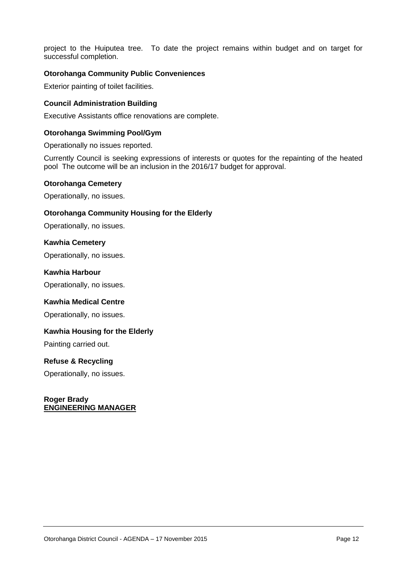project to the Huiputea tree. To date the project remains within budget and on target for successful completion.

#### **Otorohanga Community Public Conveniences**

Exterior painting of toilet facilities.

#### **Council Administration Building**

Executive Assistants office renovations are complete.

#### **Otorohanga Swimming Pool/Gym**

Operationally no issues reported.

Currently Council is seeking expressions of interests or quotes for the repainting of the heated pool The outcome will be an inclusion in the 2016/17 budget for approval.

#### **Otorohanga Cemetery**

Operationally, no issues.

#### **Otorohanga Community Housing for the Elderly**

Operationally, no issues.

#### **Kawhia Cemetery**

Operationally, no issues.

#### **Kawhia Harbour**

Operationally, no issues.

#### **Kawhia Medical Centre**

Operationally, no issues.

#### **Kawhia Housing for the Elderly**

Painting carried out.

#### **Refuse & Recycling**

Operationally, no issues.

#### **Roger Brady ENGINEERING MANAGER**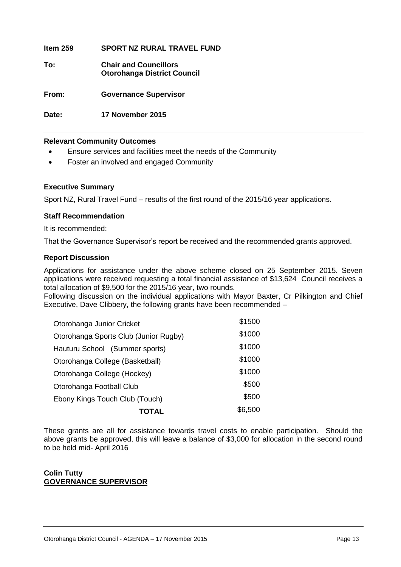**Item 259 SPORT NZ RURAL TRAVEL FUND To: Chair and Councillors Otorohanga District Council From: Governance Supervisor Date: 17 November 2015** 

#### **Relevant Community Outcomes**

- Ensure services and facilities meet the needs of the Community
- Foster an involved and engaged Community

#### **Executive Summary**

Sport NZ, Rural Travel Fund – results of the first round of the 2015/16 year applications.

#### **Staff Recommendation**

It is recommended:

That the Governance Supervisor's report be received and the recommended grants approved.

#### **Report Discussion**

Applications for assistance under the above scheme closed on 25 September 2015. Seven applications were received requesting a total financial assistance of \$13,624 Council receives a total allocation of \$9,500 for the 2015/16 year, two rounds.

Following discussion on the individual applications with Mayor Baxter, Cr Pilkington and Chief Executive, Dave Clibbery, the following grants have been recommended –

| TOTAL                                 | \$6,500 |
|---------------------------------------|---------|
| Ebony Kings Touch Club (Touch)        | \$500   |
| Otorohanga Football Club              | \$500   |
| Otorohanga College (Hockey)           | \$1000  |
| Otorohanga College (Basketball)       | \$1000  |
| Hauturu School (Summer sports)        | \$1000  |
| Otorohanga Sports Club (Junior Rugby) | \$1000  |
| Otorohanga Junior Cricket             | \$1500  |

These grants are all for assistance towards travel costs to enable participation. Should the above grants be approved, this will leave a balance of \$3,000 for allocation in the second round to be held mid- April 2016

#### **Colin Tutty GOVERNANCE SUPERVISOR**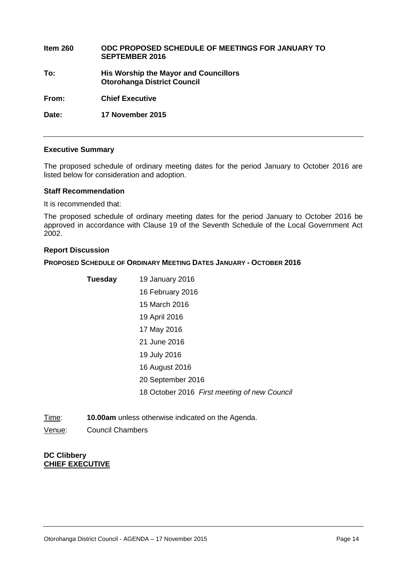| Item $260$ | ODC PROPOSED SCHEDULE OF MEETINGS FOR JANUARY TO<br><b>SEPTEMBER 2016</b>          |
|------------|------------------------------------------------------------------------------------|
| To:        | <b>His Worship the Mayor and Councillors</b><br><b>Otorohanga District Council</b> |
| From:      | <b>Chief Executive</b>                                                             |
| Date:      | 17 November 2015                                                                   |

#### **Executive Summary**

The proposed schedule of ordinary meeting dates for the period January to October 2016 are listed below for consideration and adoption.

#### **Staff Recommendation**

It is recommended that:

The proposed schedule of ordinary meeting dates for the period January to October 2016 be approved in accordance with Clause 19 of the Seventh Schedule of the Local Government Act 2002.

#### **Report Discussion**

#### **PROPOSED SCHEDULE OF ORDINARY MEETING DATES JANUARY - OCTOBER 2016**

| <b>Tuesday</b> | 19 January 2016                              |
|----------------|----------------------------------------------|
|                | 16 February 2016                             |
|                | 15 March 2016                                |
|                | 19 April 2016                                |
|                | 17 May 2016                                  |
|                | 21 June 2016                                 |
|                | 19 July 2016                                 |
|                | 16 August 2016                               |
|                | 20 September 2016                            |
|                | 18 October 2016 First meeting of new Council |

Time: **10.00am** unless otherwise indicated on the Agenda.

Venue: Council Chambers

#### **DC Clibbery CHIEF EXECUTIVE**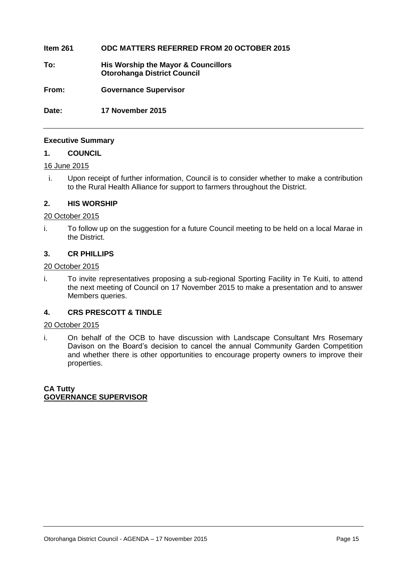#### **Item 261 ODC MATTERS REFERRED FROM 20 OCTOBER 2015**

**To: His Worship the Mayor & Councillors Otorohanga District Council**

**From: Governance Supervisor**

**Date: 17 November 2015**

#### **Executive Summary**

#### **1. COUNCIL**

#### 16 June 2015

i. Upon receipt of further information, Council is to consider whether to make a contribution to the Rural Health Alliance for support to farmers throughout the District.

#### **2. HIS WORSHIP**

#### 20 October 2015

i. To follow up on the suggestion for a future Council meeting to be held on a local Marae in the District.

#### **3. CR PHILLIPS**

#### 20 October 2015

i. To invite representatives proposing a sub-regional Sporting Facility in Te Kuiti, to attend the next meeting of Council on 17 November 2015 to make a presentation and to answer Members queries.

#### **4. CRS PRESCOTT & TINDLE**

#### 20 October 2015

i. On behalf of the OCB to have discussion with Landscape Consultant Mrs Rosemary Davison on the Board's decision to cancel the annual Community Garden Competition and whether there is other opportunities to encourage property owners to improve their properties.

**CA Tutty GOVERNANCE SUPERVISOR**